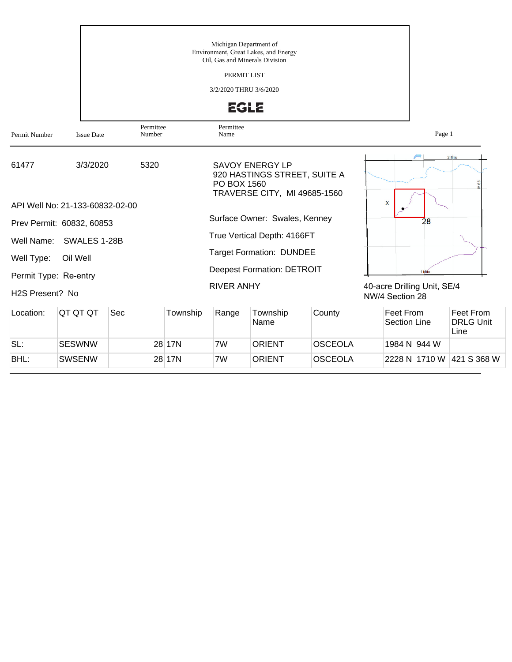|                              |                                 |                     |          | Michigan Department of<br>PERMIT LIST | Environment, Great Lakes, and Energy<br>Oil, Gas and Minerals Division                 |                |                                                |                                       |
|------------------------------|---------------------------------|---------------------|----------|---------------------------------------|----------------------------------------------------------------------------------------|----------------|------------------------------------------------|---------------------------------------|
|                              |                                 |                     |          | 3/2/2020 THRU 3/6/2020                | EGLE                                                                                   |                |                                                |                                       |
| Permit Number                | <b>Issue Date</b>               | Permittee<br>Number |          | Permittee<br>Name                     |                                                                                        |                | Page 1                                         |                                       |
| 61477                        | 3/3/2020                        | 5320                |          | PO BOX 1560                           | <b>SAVOY ENERGY LP</b><br>920 HASTINGS STREET, SUITE A<br>TRAVERSE CITY, MI 49685-1560 |                |                                                | 2 Mile                                |
|                              | API Well No: 21-133-60832-02-00 |                     |          |                                       |                                                                                        |                | $\mathsf{x}$                                   |                                       |
|                              | Prev Permit: 60832, 60853       |                     |          |                                       | Surface Owner: Swales, Kenney                                                          |                | $\overline{28}$                                |                                       |
| Well Name:                   | SWALES 1-28B                    |                     |          |                                       | True Vertical Depth: 4166FT                                                            |                |                                                |                                       |
| Well Type:                   | Oil Well                        |                     |          |                                       | <b>Target Formation: DUNDEE</b>                                                        |                |                                                |                                       |
|                              | Permit Type: Re-entry           |                     |          |                                       | <b>Deepest Formation: DETROIT</b>                                                      |                | 1 Mile                                         |                                       |
| H <sub>2</sub> S Present? No |                                 |                     |          | <b>RIVER ANHY</b>                     |                                                                                        |                | 40-acre Drilling Unit, SE/4<br>NW/4 Section 28 |                                       |
| Location:                    | QT QT QT                        | Sec                 | Township | Range                                 | Township<br>Name                                                                       | County         | Feet From<br><b>Section Line</b>               | Feet From<br><b>DRLG Unit</b><br>Line |
| SL:                          | <b>SESWNW</b>                   |                     | 28 17N   | 7W                                    | <b>ORIENT</b>                                                                          | <b>OSCEOLA</b> | 1984 N 944 W                                   |                                       |
| BHL:                         | <b>SWSENW</b>                   |                     | 28 17N   | 7W                                    | ORIENT                                                                                 | <b>OSCEOLA</b> | 2228 N 1710 W 421 S 368 W                      |                                       |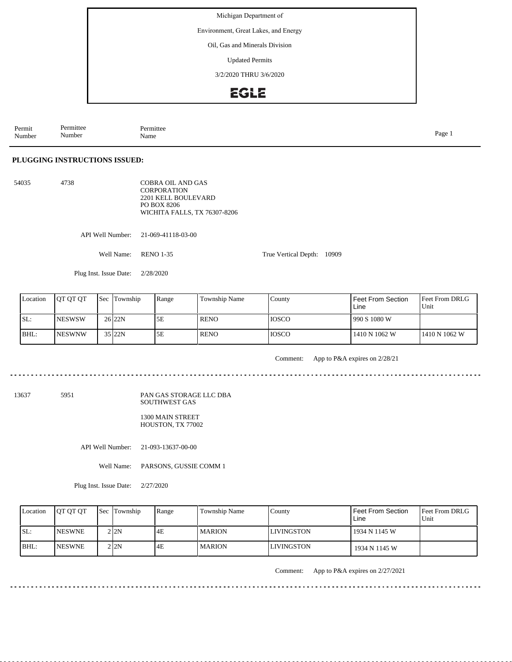Environment, Great Lakes, and Energy

Oil, Gas and Minerals Division

Updated Permits

3/2/2020 THRU 3/6/2020

### **EGLE**

Permit Number Permittee Number Permittee<br>Name Name Page 1

### **PLUGGING INSTRUCTIONS ISSUED:**

| 54035 | 4738 | COBRA OIL AND GAS            |
|-------|------|------------------------------|
|       |      | <b>CORPORATION</b>           |
|       |      | 2201 KELL BOULEVARD          |
|       |      | PO BOX 8206                  |
|       |      | WICHITA FALLS, TX 76307-8206 |
|       |      |                              |

API Well Number: 21-069-41118-03-00

Well Name: RENO 1-35

True Vertical Depth: 10909

Plug Inst. Issue Date: 2/28/2020

| Location | <b>JOT OT OT</b> | <b>Sec</b> Township | Range | Township Name | County       | Feet From Section<br>Line | <b>Feet From DRLG</b><br>Unit |
|----------|------------------|---------------------|-------|---------------|--------------|---------------------------|-------------------------------|
| ISL:     | <b>INESWSW</b>   | 26 <sub>22N</sub>   | 5Ε    | <b>RENO</b>   | <b>IOSCO</b> | 990 S 1080 W              |                               |
| BHL:     | <b>NESWNW</b>    | 35 22N              | 5Ε    | <b>RENO</b>   | <b>IOSCO</b> | 1410 N 1062 W             | 1410 N 1062 W                 |

 $\frac{1}{2} \left( \frac{1}{2} \right) \left( \frac{1}{2} \right) \left( \frac{1}{2} \right) \left( \frac{1}{2} \right) \left( \frac{1}{2} \right) \left( \frac{1}{2} \right)$ 

Comment: App to P&A expires on 2/28/21

<u>. . . . . . . . . . .</u>

<u>. . . . . . . . . . . . . .</u>

 $- - -$ 

13637 5951

PAN GAS STORAGE LLC DBA SOUTHWEST GAS

1300 MAIN STREET HOUSTON, TX 77002

API Well Number: 21-093-13637-00-00

Well Name: PARSONS, GUSSIE COMM 1

Plug Inst. Issue Date: 2/27/2020

| Location | <b>IOT OT OT</b> | <b>Sec</b> Township | Range | Township Name | County             | Feet From Section<br>Line | Feet From DRLG<br>Unit |
|----------|------------------|---------------------|-------|---------------|--------------------|---------------------------|------------------------|
| SL:      | <b>INESWNE</b>   | 2 I 2 N             | 4E    | <b>MARION</b> | <b>ILIVINGSTON</b> | 1934 N 1145 W             |                        |
| IBHL:    | <b>INESWNE</b>   | 2 I 2 N             | 4E    | <b>MARION</b> | <b>ILIVINGSTON</b> | 1934 N 1145 W             |                        |

Comment: App to P&A expires on 2/27/2021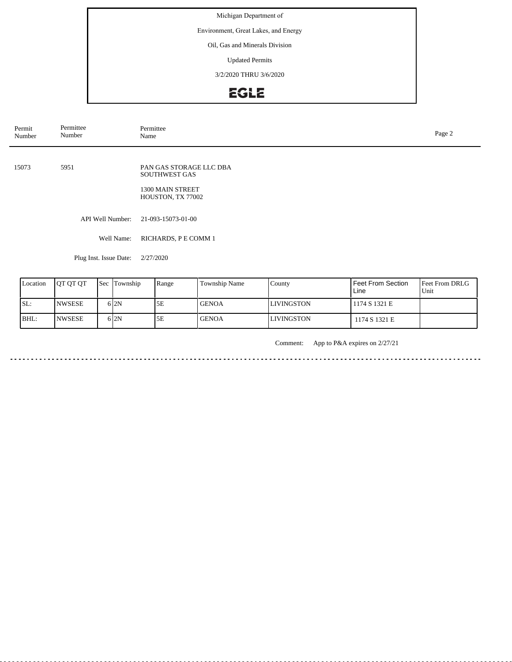Environment, Great Lakes, and Energy

Oil, Gas and Minerals Division

Updated Permits

3/2/2020 THRU 3/6/2020

# EGLE

| Permit<br>Number | Permittee<br>Number    | Permittee<br>Name                                                                 | Page 2 |
|------------------|------------------------|-----------------------------------------------------------------------------------|--------|
| 15073            | 5951                   | PAN GAS STORAGE LLC DBA<br>SOUTHWEST GAS<br>1300 MAIN STREET<br>HOUSTON, TX 77002 |        |
|                  | API Well Number:       | 21-093-15073-01-00                                                                |        |
|                  | Well Name:             | RICHARDS, P E COMM 1                                                              |        |
|                  | Plug Inst. Issue Date: | 2/27/2020                                                                         |        |

| Location | IOT OT OT     | Sec | Township | Range | Township Name | County             | Feet From Section<br>Line | <b>IFeet From DRLG</b><br>Unit |
|----------|---------------|-----|----------|-------|---------------|--------------------|---------------------------|--------------------------------|
| SL:      | <b>NWSESE</b> |     | 612N     | 5Ε    | <b>GENOA</b>  | <b>ILIVINGSTON</b> | 1174 S 1321 E             |                                |
| BHL:     | <b>NWSESE</b> |     | 6 2 N    | 5E    | <b>GENOA</b>  | <b>ILIVINGSTON</b> | 1174 S 1321 E             |                                |

Comment: App to P&A expires on 2/27/21

. . . . . . .  $\sim$   $\sim$   $\sim$   $\sim$  $\sim$   $\sim$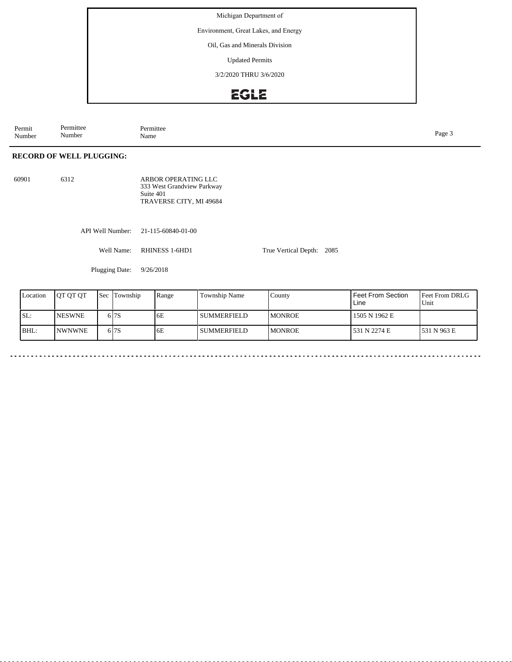Environment, Great Lakes, and Energy

Oil, Gas and Minerals Division

Updated Permits

3/2/2020 THRU 3/6/2020

# **EGLE**

Permit Number Permittee Number Permittee<br>Name Page 3<br>Name

### **RECORD OF WELL PLUGGING:**

60901 6312

ARBOR OPERATING LLC 333 West Grandview Parkway Suite 401 TRAVERSE CITY, MI 49684

API Well Number: 21-115-60840-01-00

Well Name: RHINESS 1-6HD1

Plugging Date: 9/26/2018

| Location | <b>OT OT OT</b> | Sec | Township | Range | Township Name | County         | Feet From Section<br>Line | <b>Feet From DRLG</b><br>Unit |
|----------|-----------------|-----|----------|-------|---------------|----------------|---------------------------|-------------------------------|
| SL:      | <b>NESWNE</b>   |     | 617S     | 6E    | l summerfield | <b>IMONROE</b> | 1505 N 1962 E             |                               |
| BHL:     | <b>NWNWNE</b>   |     | 617S     | 6E    | l summerfield | <b>IMONROE</b> | 531 N 2274 E              | 1531 N 963 E                  |

True Vertical Depth: 2085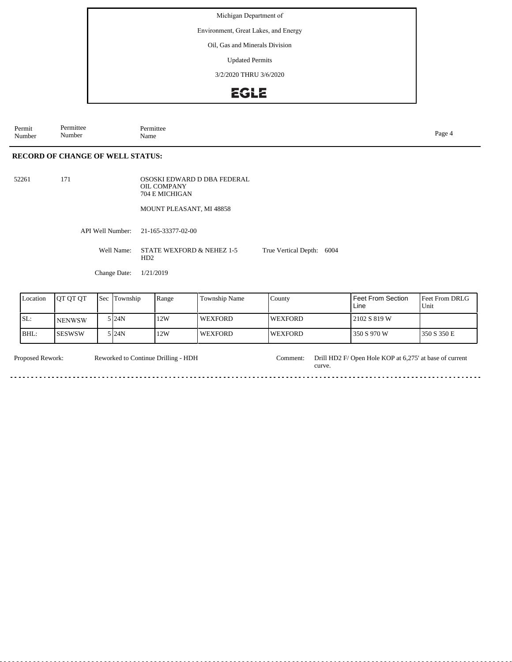Environment, Great Lakes, and Energy

Oil, Gas and Minerals Division

Updated Permits

3/2/2020 THRU 3/6/2020

### **EGLE**

| Permit<br>the contract of the contract of the<br>Number | 'ermittee<br>$\sim$ $\sim$<br>Number | $\mathbf{r}$<br>∽rmittee<br>Name | Page |
|---------------------------------------------------------|--------------------------------------|----------------------------------|------|
|                                                         |                                      |                                  |      |

### **RECORD OF CHANGE OF WELL STATUS:**

 $- - - - - -$ 

52261 171

API Well Number: 21-165-33377-02-00 Well Name: STATE WEXFORD & NEHEZ 1-5 OSOSKI EDWARD D DBA FEDERAL OIL COMPANY 704 E MICHIGAN MOUNT PLEASANT, MI 48858

HD2 True Vertical Depth: 6004

Change Date: 1/21/2019

| Location | <b>IOT OT OT</b> | <b>Sec</b> | Township | Range | Township Name  | County          | Feet From Section<br>Line | <b>Feet From DRLG</b><br>'Unit |
|----------|------------------|------------|----------|-------|----------------|-----------------|---------------------------|--------------------------------|
| ISL:     | <b>NENWSW</b>    |            | 5 24N    | 12W   | <b>WEXFORD</b> | <b>IWEXFORD</b> | 2102 S 819 W              |                                |
| BHL:     | <b>ISESWSW</b>   |            | 5 I24N   | 12W   | <b>WEXFORD</b> | <b>WEXFORD</b>  | 350 S 970 W               | 350 S 350 E                    |

 $- - - - -$ 

<u>. . . . . . . . . . . . . .</u>

Reworked to Continue Drilling - HDH

Proposed Rework: Reworked to Continue Drilling - HDH Comment: Drill HD2 F/ Open Hole KOP at 6,275' at base of current curve. Comment:

<u>. . . . . .</u>